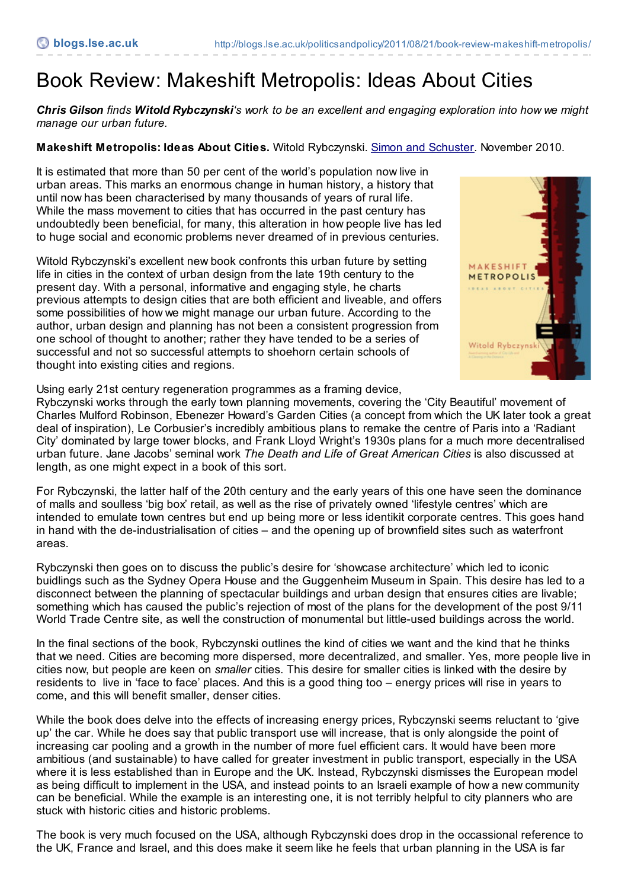## Book Review: Makeshift Metropolis: Ideas About Cities

Chris Gilson finds Witold Rybczynski's work to be an excellent and engaging exploration into how we might *manage our urban future.*

## **Makeshift Metropolis: Ideas About Cities.** Witold Rybczynski. Simon and [Schuster](http://books.simonandschuster.com/Makeshift-Metropolis/Witold-Rybczynski/9781416561255). November 2010.

It is estimated that more than 50 per cent of the world's population now live in urban areas. This marks an enormous change in human history, a history that until now has been characterised by many thousands of years of rural life. While the mass movement to cities that has occurred in the past century has undoubtedly been beneficial, for many, this alteration in how people live has led to huge social and economic problems never dreamed of in previous centuries.

Witold Rybczynski's excellent new book confronts this urban future by setting life in cities in the context of urban design from the late 19th century to the present day. With a personal, informative and engaging style, he charts previous attempts to design cities that are both efficient and liveable, and offers some possibilities of how we might manage our urban future. According to the author, urban design and planning has not been a consistent progression from one school of thought to another; rather they have tended to be a series of successful and not so successful attempts to shoehorn certain schools of thought into existing cities and regions.



Using early 21st century regeneration programmes as a framing device,

Rybczynski works through the early town planning movements, covering the 'City Beautiful' movement of Charles Mulford Robinson, Ebenezer Howard's Garden Cities (a concept from which the UK later took a great deal of inspiration), Le Corbusier's incredibly ambitious plans to remake the centre of Paris into a 'Radiant City' dominated by large tower blocks, and Frank Lloyd Wright's 1930s plans for a much more decentralised urban future. Jane Jacobs' seminal work *The Death and Life of Great American Cities* is also discussed at length, as one might expect in a book of this sort.

For Rybczynski, the latter half of the 20th century and the early years of this one have seen the dominance of malls and soulless 'big box' retail, as well as the rise of privately owned 'lifestyle centres' which are intended to emulate town centres but end up being more or less identikit corporate centres. This goes hand in hand with the de-industrialisation of cities – and the opening up of brownfield sites such as waterfront areas.

Rybczynski then goes on to discuss the public's desire for 'showcase architecture' which led to iconic buidlings such as the Sydney Opera House and the Guggenheim Museum in Spain. This desire has led to a disconnect between the planning of spectacular buildings and urban design that ensures cities are livable; something which has caused the public's rejection of most of the plans for the development of the post 9/11 World Trade Centre site, as well the construction of monumental but little-used buildings across the world.

In the final sections of the book, Rybczynski outlines the kind of cities we want and the kind that he thinks that we need. Cities are becoming more dispersed, more decentralized, and smaller. Yes, more people live in cities now, but people are keen on *smaller* cities. This desire for smaller cities is linked with the desire by residents to live in 'face to face' places. And this is a good thing too – energy prices will rise in years to come, and this will benefit smaller, denser cities.

While the book does delve into the effects of increasing energy prices, Rybczynski seems reluctant to 'give up' the car. While he does say that public transport use will increase, that is only alongside the point of increasing car pooling and a growth in the number of more fuel efficient cars. It would have been more ambitious (and sustainable) to have called for greater investment in public transport, especially in the USA where it is less established than in Europe and the UK. Instead, Rybczynski dismisses the European model as being difficult to implement in the USA, and instead points to an Israeli example of how a new community can be beneficial. While the example is an interesting one, it is not terribly helpful to city planners who are stuck with historic cities and historic problems.

The book is very much focused on the USA, although Rybczynski does drop in the occassional reference to the UK, France and Israel, and this does make it seem like he feels that urban planning in the USA is far